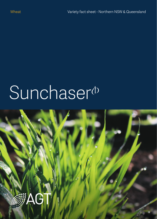# Sunchaser<sup>(b)</sup>

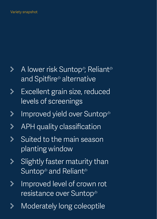## Variety snapshot

- A lower risk Suntop<sup>®</sup>, Reliant<sup>®</sup>  $\rightarrow$ and Spitfire<sup>®</sup> alternative
- Excellent grain size, reduced  $\geqslant$ levels of screenings
- Improved yield over Suntop<sup>®</sup>  $\mathcal Y$
- APH quality classification  $\mathbb{R}$
- Suited to the main season  $\mathbb{R}^2$ planting window
- Slightly faster maturity than  $\mathbb{\mathcal{V}}$ Suntop<sup>®</sup> and Reliant<sup>®</sup>
- Improved level of crown rot  $\mathcal{P}$ resistance over Suntop $\Phi$
- Moderately long coleoptile⋟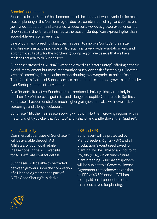#### Breeder's comments

Since its release. Suntop<sup>®</sup> has become one of the dominant wheat varieties for main season planting in the Northern region due to a combination of high and consistent yield, wide adaptation, and tolerance to sodic soils. However, grower experience has shown that in drier/sharper finishes to the season, Suntop $\Phi$  can express higher than acceptable levels of screenings.

One of our major breeding objectives has been to improve Suntop's<sup>®</sup> grain size and disease resistance package whilst retaining its very wide adaptation, yield and agronomic suitability for the Northern growing region. We believe that we have realised that goal with Sunchaser<sup>®</sup>.

Sunchaser<sup>®</sup> (tested as SUN843E) may be viewed as a 'safer Suntop<sup>'®</sup>, offering not only a yield improvement but most importantly a much lower risk of screenings. Elevated levels of screenings is a major factor contributing to downgrades at point of sale. Therefore this feature of Sunchaser<sup>®</sup> has the potential to improve grower's profitability over Suntop<sup>®</sup>, among other varieties.

As a Reliant<sup>®</sup> alternative, Sunchaser® has produced similar vields (particularly in northern NSW), improved grain size and a longer coleoptile. Compared to Spitfire<sup>®</sup>, Sunchaser $<sup>o</sup>$  has demonstrated much higher grain yield, and also with lower risk of</sup> screenings and a longer coleoptile.

Sunchaser $^{\omega}$  fits the main season sowing window in Northern growing regions, with a maturity slightly quicker than Suntop<sup>®</sup> and Reliant<sup>®</sup>, and a little slower than Spitfire®.

## Seed Availability

Commercial quantities of Sunchaser $^{\circ}$ will be available through AGT Affiliates, or your local retailer. Please consult the AGT website for AGT Affiliate contact details.

Sunchaser $^{\circ}$  will be able to be traded between growers upon the completion of a License Agreement as part of AGT's Seed Sharing™ Initiative.

## PBR and EPR

Sunchaser<sup>®</sup> will be protected by Plant Breeders Rights (PBR) and all production (except seed saved for planting) will be liable to an End Point Royalty (EPR), which funds future plant breeding. Sunchaser<sup>®</sup> growers will be subject to a Growers License Agreement that acknowledges that an EPR of \$3.50/tonne + GST has to be paid on all production other than seed saved for planting.

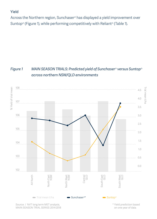#### Yield

Across the Northern region, Sunchaser $<sup>°</sup>$  has displayed a yield improvement over</sup> Suntop<sup>®</sup> (Figure 1), while performing competitively with Reliant<sup>®</sup> (Table 1).

# *Figure 1 MAIN SEASON TRIALS: Predicted yield of Sunchaser<sup>®</sup> versus Suntop<sup>®</sup> across northern NSW/QLD environments*



Source / NVT long term MET analysis, MAIN SEASON TRIAL SERIES 2014-2018 \* Yield prediction based on one year of data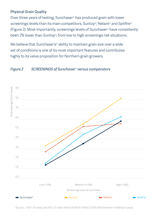## Physical Grain Quality

Over three years of testing, Sunchaser<sup>®</sup> has produced grain with lower screenings levels than its main competitors, Suntop<sup>®</sup>, Reliant<sup>®</sup> and Spitfire<sup>®</sup> (Figure 2). Most importantly, screenings levels of Sunchaser<sup>®</sup> have consistently been 2% lower than Suntop<sup>®</sup>, from low to high screenings risk situations.

We believe that Sunchaser's<sup>®</sup> ability to maintain grain size over a wide set of conditions is one of its most important features and contributes highly to its value proposition for Northern grain growers.

#### *Figure 2 SCREENINGS of Sunchaser*~ *versus comparators*



Source / NVT (10 sites) and AGT (11 sites) MAIN SEASON TRIALS 2016-2018 (Northern NSW/QLD sites)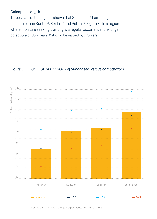# Coleoptile Length

Three years of testing has shown that Sunchaser $\phi$  has a longer coleoptile than Suntop<sup>®</sup>, Spitfire<sup>®</sup> and Reliant<sup>®</sup> (Figure 3). In a region where moisture seeking planting is a regular occurrence, the longer coleoptile of Sunchaser<sup>®</sup> should be valued by growers.

## *Figure 3 COLEOPTILE LENGTH of Sunchaser<sup>®</sup> versus comparators*



Source / AGT coleoptile length experiments, Wagga 2017-2019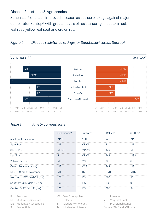#### Disease Resistance & Agronomics

Sunchaser<sup>®</sup> offers an improved disease resistance package against major comparator Suntop<sup>®</sup>, with greater levels of resistance against stem rust, leaf rust, yellow leaf spot and crown rot.

#### *Figure 4 Disease resistance ratings for Sunchaser*<sup>®</sup> versus Suntop<sup>®</sup>



# *Table 1 Variety comparisons*

|                              | Sunchaser <sup>®*</sup> | Suntop <sup>®</sup> | Reliant <sup>®</sup> | Spitfire <sup>®</sup> |
|------------------------------|-------------------------|---------------------|----------------------|-----------------------|
| Quality Classification       | APH                     | <b>APH</b>          | APH                  | APH                   |
| <b>Stem Rust</b>             | <b>MR</b>               | <b>MRMS</b>         | R                    | <b>MR</b>             |
| <b>Stripe Rust</b>           | <b>MRMS</b>             | <b>MRMS</b>         | <b>MR</b>            | <b>MR</b>             |
| Leaf Rust                    | R                       | <b>MRMS</b>         | <b>MR</b>            | <b>MSS</b>            |
| Yellow Leaf Spot             | <b>MS</b>               | <b>MSS</b>          | S                    | S                     |
| Crown Rot (resistance)       | <b>MS</b>               | <b>MSS</b>          | MS.                  | MS                    |
| RLN (P. thornei) Tolerance   | <b>MT</b>               | <b>TMT</b>          | TMT                  | MTMI                  |
| Northern NSW Yield (3.6t/ha) | 106                     | 103                 | 106                  | 95                    |
| Southern QLD Yield (3.1t/ha) | 106                     | 106                 | 110                  | 95                    |
| Central QLD Yield (3.1t/ha)  | 106                     | 103                 | 106                  | 94                    |

- R Resistant MR Moderately Resistant MS Moderately Susceptible
- S Susceptible
- VS Very Susceptible
- T Tolerant
- MT Moderately Tolerant
- MI Moderately Intolerant
- I Intolerant
- VI Very Intolerant
- \* Provisional ratings
- Source / NVT and AGT data